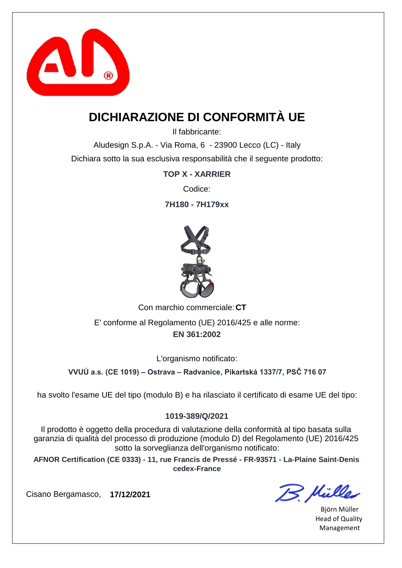

### **DICHIARAZIONE DI CONFORMITÀ UE**

Il fabbricante:

Aludesign S.p.A. - Via Roma, 6 - 23900 Lecco (LC) - Italy Dichiara sotto la sua esclusiva responsabilità che il seguente prodotto:

**TOP X - XARRIER**

Codice:

**7H180 - 7H179xx**



Con marchio commerciale: CT **EN 361:2002** E' conforme al Regolamento (UE) 2016/425 e alle norme:

L'organismo notificato:

**VVUÚ a.s. (CE 1019) – Ostrava – Radvanice, Pikartská 1337/7, PSČ 716 07**

ha svolto l'esame UE del tipo (modulo B) e ha rilasciato il certificato di esame UE del tipo:

### **1019-389/Q/2021**

Il prodotto è oggetto della procedura di valutazione della conformità al tipo basata sulla garanzia di qualità del processo di produzione (modulo D) del Regolamento (UE) 2016/425 sotto la sorveglianza dell'organismo notificato:

**AFNOR Certification (CE 0333) - 11, rue Francis de Pressé - FR-93571 - La-Plaine Saint-Denis cedex-France**

B. Mülles

Björn Müller Head of Quality Management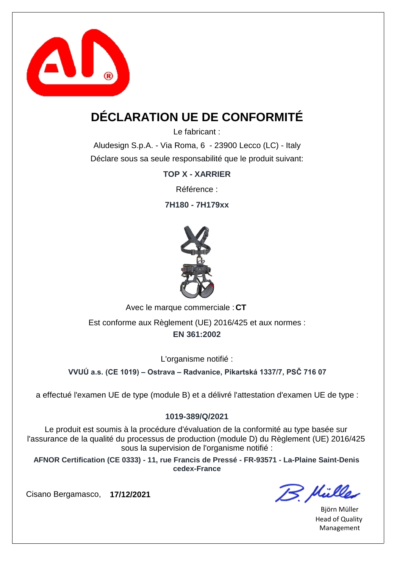

## **DÉCLARATION UE DE CONFORMITÉ**

Le fabricant :

Aludesign S.p.A. - Via Roma, 6 - 23900 Lecco (LC) - Italy Déclare sous sa seule responsabilité que le produit suivant:

**TOP X - XARRIER**

Référence :

**7H180 - 7H179xx**



Avec le marque commerciale : CT

**EN 361:2002** Est conforme aux Règlement (UE) 2016/425 et aux normes :

L'organisme notifié :

**VVUÚ a.s. (CE 1019) – Ostrava – Radvanice, Pikartská 1337/7, PSČ 716 07**

a effectué l'examen UE de type (module B) et a délivré l'attestation d'examen UE de type :

### **1019-389/Q/2021**

Le produit est soumis à la procédure d'évaluation de la conformité au type basée sur l'assurance de la qualité du processus de production (module D) du Règlement (UE) 2016/425 sous la supervision de l'organisme notifié :

**AFNOR Certification (CE 0333) - 11, rue Francis de Pressé - FR-93571 - La-Plaine Saint-Denis cedex-France**

Cisano Bergamasco, **17/12/2021**

B. Hülles

Björn Müller Head of Quality Management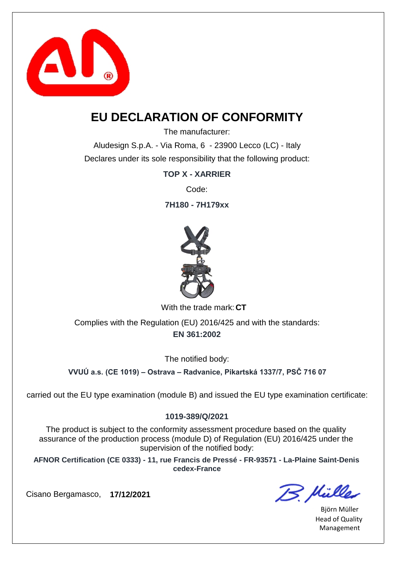

### **EU DECLARATION OF CONFORMITY**

The manufacturer:

Aludesign S.p.A. - Via Roma, 6 - 23900 Lecco (LC) - Italy Declares under its sole responsibility that the following product:

**TOP X - XARRIER**

Code:

**7H180 - 7H179xx**



With the trade mark: CT

**EN 361:2002** Complies with the Regulation (EU) 2016/425 and with the standards:

The notified body:

**VVUÚ a.s. (CE 1019) – Ostrava – Radvanice, Pikartská 1337/7, PSČ 716 07**

carried out the EU type examination (module B) and issued the EU type examination certificate:

### **1019-389/Q/2021**

The product is subject to the conformity assessment procedure based on the quality assurance of the production process (module D) of Regulation (EU) 2016/425 under the supervision of the notified body:

**AFNOR Certification (CE 0333) - 11, rue Francis de Pressé - FR-93571 - La-Plaine Saint-Denis cedex-France**

B. Mülles

Björn Müller Head of Quality Management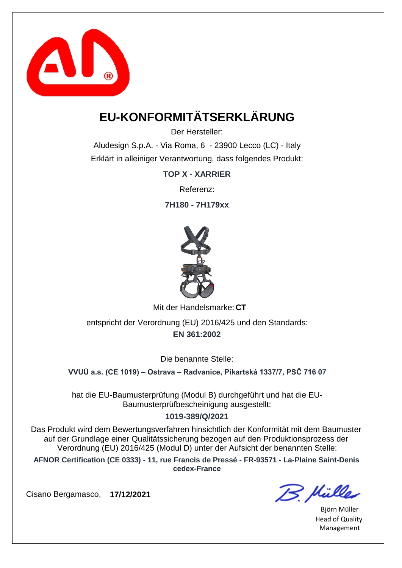

# **EU-KONFORMITÄTSERKLÄRUNG**

Der Hersteller:

Aludesign S.p.A. - Via Roma, 6 - 23900 Lecco (LC) - Italy Erklärt in alleiniger Verantwortung, dass folgendes Produkt:

**TOP X - XARRIER**

Referenz:

**7H180 - 7H179xx**



Mit der Handelsmarke: CT

**EN 361:2002** entspricht der Verordnung (EU) 2016/425 und den Standards:

Die benannte Stelle:

**VVUÚ a.s. (CE 1019) – Ostrava – Radvanice, Pikartská 1337/7, PSČ 716 07**

hat die EU-Baumusterprüfung (Modul B) durchgeführt und hat die EU-Baumusterprüfbescheinigung ausgestellt:

### **1019-389/Q/2021**

Das Produkt wird dem Bewertungsverfahren hinsichtlich der Konformität mit dem Baumuster auf der Grundlage einer Qualitätssicherung bezogen auf den Produktionsprozess der Verordnung (EU) 2016/425 (Modul D) unter der Aufsicht der benannten Stelle:

**AFNOR Certification (CE 0333) - 11, rue Francis de Pressé - FR-93571 - La-Plaine Saint-Denis cedex-France**

B. Mülles

Björn Müller Head of Quality Management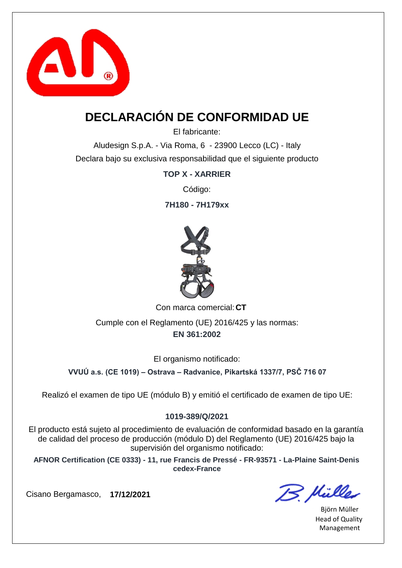

## **DECLARACIÓN DE CONFORMIDAD UE**

El fabricante:

Aludesign S.p.A. - Via Roma, 6 - 23900 Lecco (LC) - Italy Declara bajo su exclusiva responsabilidad que el siguiente producto

**TOP X - XARRIER**

Código:

**7H180 - 7H179xx**



Con marca comercial: CT

**EN 361:2002** Cumple con el Reglamento (UE) 2016/425 y las normas:

El organismo notificado:

**VVUÚ a.s. (CE 1019) – Ostrava – Radvanice, Pikartská 1337/7, PSČ 716 07**

Realizó el examen de tipo UE (módulo B) y emitió el certificado de examen de tipo UE:

### **1019-389/Q/2021**

El producto está sujeto al procedimiento de evaluación de conformidad basado en la garantía de calidad del proceso de producción (módulo D) del Reglamento (UE) 2016/425 bajo la supervisión del organismo notificado:

**AFNOR Certification (CE 0333) - 11, rue Francis de Pressé - FR-93571 - La-Plaine Saint-Denis cedex-France**

B. Mülles

Björn Müller Head of Quality Management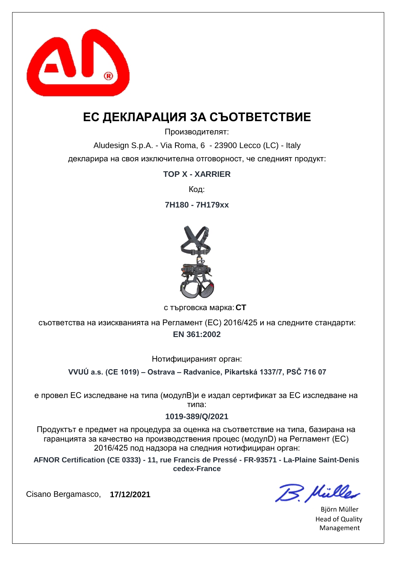

### **ЕС ДЕКЛАРАЦИЯ ЗА СЪОТВЕТСТВИЕ**

Производителят:

Aludesign S.p.A. - Via Roma, 6 - 23900 Lecco (LC) - Italy декларира на своя изключителна отговорност, че следният продукт:

**TOP X - XARRIER**

Код:

**7H180 - 7H179xx**



**CT** с търговска марка:

**EN 361:2002** съответства на изискванията на Регламент (ЕС) 2016/425 и на следните стандарти:

Нотифицираният орган:

**VVUÚ a.s. (CE 1019) – Ostrava – Radvanice, Pikartská 1337/7, PSČ 716 07**

е провел ЕС изследване на типа (модулB)и е издал сертификат за ЕС изследване на типа:

#### **1019-389/Q/2021**

Продуктът е предмет на процедура за оценка на съответствие на типа, базирана на гаранцията за качество на производствения процес (модулD) на Регламент (ЕС) 2016/425 под надзора на следния нотифициран орган:

**AFNOR Certification (CE 0333) - 11, rue Francis de Pressé - FR-93571 - La-Plaine Saint-Denis cedex-France**

B. Hülles

Björn Müller Head of Quality Management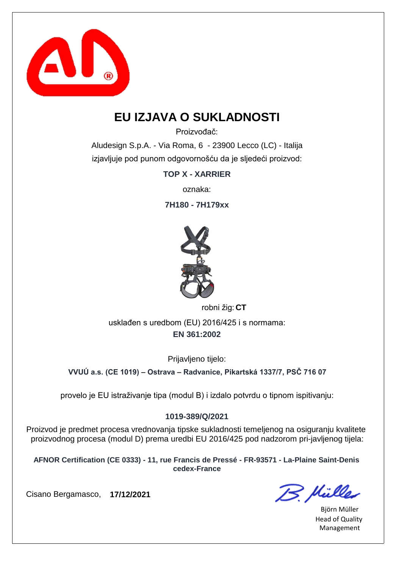

### **EU IZJAVA O SUKLADNOSTI**

Proizvođač:

Aludesign S.p.A. - Via Roma, 6 - 23900 Lecco (LC) - Italija izjavljuje pod punom odgovornošću da je sljedeći proizvod:

**TOP X - XARRIER**

oznaka:

**7H180 - 7H179xx**



robni žig: CT

**EN 361:2002** usklađen s uredbom (EU) 2016/425 i s normama:

Prijavljeno tijelo:

**VVUÚ a.s. (CE 1019) – Ostrava – Radvanice, Pikartská 1337/7, PSČ 716 07**

provelo je EU istraživanje tipa (modul B) i izdalo potvrdu o tipnom ispitivanju:

### **1019-389/Q/2021**

Proizvod je predmet procesa vrednovanja tipske sukladnosti temeljenog na osiguranju kvalitete proizvodnog procesa (modul D) prema uredbi EU 2016/425 pod nadzorom pri-javljenog tijela:

**AFNOR Certification (CE 0333) - 11, rue Francis de Pressé - FR-93571 - La-Plaine Saint-Denis cedex-France**

B. Müller

Björn Müller Head of Quality Management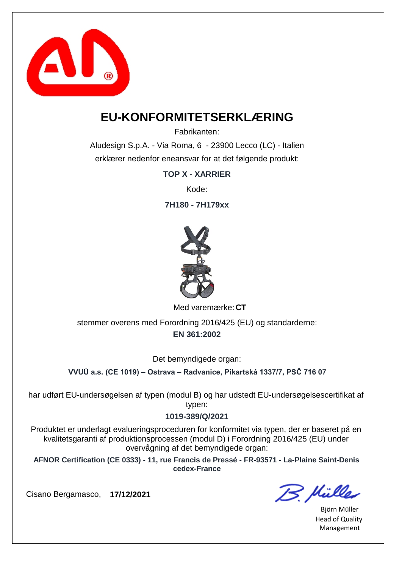

### **EU-KONFORMITETSERKLÆRING**

Fabrikanten:

Aludesign S.p.A. - Via Roma, 6 - 23900 Lecco (LC) - Italien erklærer nedenfor eneansvar for at det følgende produkt:

**TOP X - XARRIER**

Kode:

**7H180 - 7H179xx**



Med varemærke: CT

**EN 361:2002** stemmer overens med Forordning 2016/425 (EU) og standarderne:

Det bemyndigede organ:

**VVUÚ a.s. (CE 1019) – Ostrava – Radvanice, Pikartská 1337/7, PSČ 716 07**

har udført EU-undersøgelsen af typen (modul B) og har udstedt EU-undersøgelsescertifikat af typen:

#### **1019-389/Q/2021**

Produktet er underlagt evalueringsproceduren for konformitet via typen, der er baseret på en kvalitetsgaranti af produktionsprocessen (modul D) i Forordning 2016/425 (EU) under overvågning af det bemyndigede organ:

**AFNOR Certification (CE 0333) - 11, rue Francis de Pressé - FR-93571 - La-Plaine Saint-Denis cedex-France**

B. Mülles

Björn Müller Head of Quality Management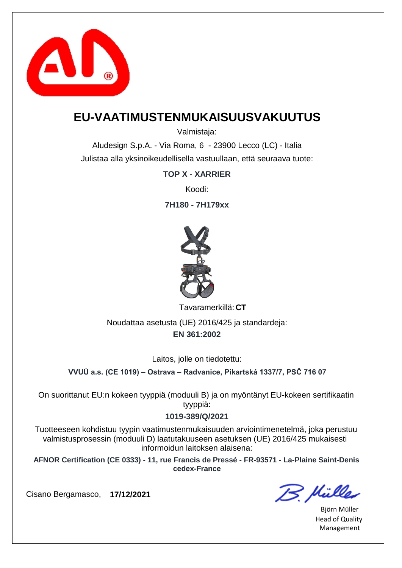

### **EU-VAATIMUSTENMUKAISUUSVAKUUTUS**

Valmistaja:

Aludesign S.p.A. - Via Roma, 6 - 23900 Lecco (LC) - Italia Julistaa alla yksinoikeudellisella vastuullaan, että seuraava tuote:

**TOP X - XARRIER**

Koodi:

**7H180 - 7H179xx**



**CT** Tavaramerkillä:

**EN 361:2002** Noudattaa asetusta (UE) 2016/425 ja standardeja:

Laitos, jolle on tiedotettu:

**VVUÚ a.s. (CE 1019) – Ostrava – Radvanice, Pikartská 1337/7, PSČ 716 07**

On suorittanut EU:n kokeen tyyppiä (moduuli B) ja on myöntänyt EU-kokeen sertifikaatin tyyppiä:

#### **1019-389/Q/2021**

Tuotteeseen kohdistuu tyypin vaatimustenmukaisuuden arviointimenetelmä, joka perustuu valmistusprosessin (moduuli D) laatutakuuseen asetuksen (UE) 2016/425 mukaisesti informoidun laitoksen alaisena:

**AFNOR Certification (CE 0333) - 11, rue Francis de Pressé - FR-93571 - La-Plaine Saint-Denis cedex-France**

B. Müller

Björn Müller Head of Quality Management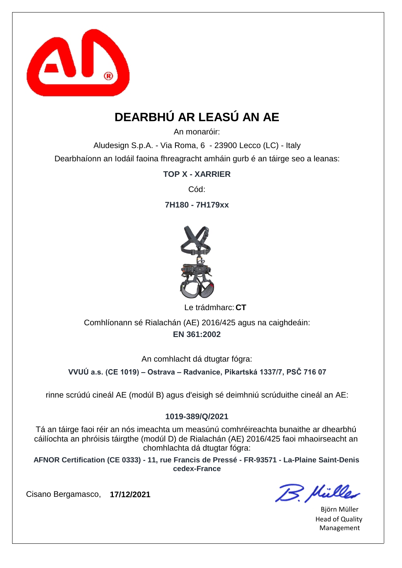

# **DEARBHÚ AR LEASÚ AN AE**

An monaróir:

Aludesign S.p.A. - Via Roma, 6 - 23900 Lecco (LC) - Italy Dearbhaíonn an Iodáil faoina fhreagracht amháin gurb é an táirge seo a leanas:

**TOP X - XARRIER**

Cód:

**7H180 - 7H179xx**



Le trádmharc: CT

**EN 361:2002** Comhlíonann sé Rialachán (AE) 2016/425 agus na caighdeáin:

An comhlacht dá dtugtar fógra:

**VVUÚ a.s. (CE 1019) – Ostrava – Radvanice, Pikartská 1337/7, PSČ 716 07**

rinne scrúdú cineál AE (modúl B) agus d'eisigh sé deimhniú scrúduithe cineál an AE:

### **1019-389/Q/2021**

Tá an táirge faoi réir an nós imeachta um measúnú comhréireachta bunaithe ar dhearbhú cáilíochta an phróisis táirgthe (modúl D) de Rialachán (AE) 2016/425 faoi mhaoirseacht an chomhlachta dá dtugtar fógra:

**AFNOR Certification (CE 0333) - 11, rue Francis de Pressé - FR-93571 - La-Plaine Saint-Denis cedex-France**

B. Mülles

Björn Müller Head of Quality Management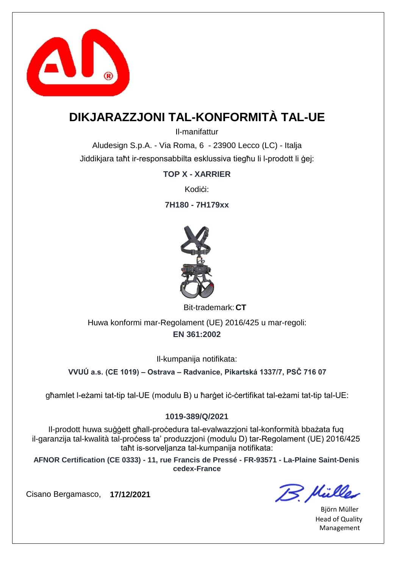

### **DIKJARAZZJONI TAL-KONFORMITÀ TAL-UE**

Il-manifattur

Aludesign S.p.A. - Via Roma, 6 - 23900 Lecco (LC) - Italja Jiddikjara taħt ir-responsabbilta esklussiva tiegħu li l-prodott li ġej:

**TOP X - XARRIER**

Kodi**ci:** 

**7H180 - 7H179xx**



Bit-trademark: CT

**EN 361:2002** Huwa konformi mar-Regolament (UE) 2016/425 u mar-regoli:

Il-kumpanija notifikata:

**VVUÚ a.s. (CE 1019) – Ostrava – Radvanice, Pikartská 1337/7, PSČ 716 07**

għamlet l-eżami tat-tip tal-UE (modulu B) u ħarġet iċ-ċertifikat tal-eżami tat-tip tal-UE:

### **1019-389/Q/2021**

Il-prodott huwa suġġett għall-proċedura tal-evalwazzjoni tal-konformità bbażata fuq il-garanzija tal-kwalità tal-proċess ta' produzzjoni (modulu D) tar-Regolament (UE) 2016/425 taħt is-sorveljanza tal-kumpanija notifikata:

**AFNOR Certification (CE 0333) - 11, rue Francis de Pressé - FR-93571 - La-Plaine Saint-Denis cedex-France**

B. Mülles

Björn Müller Head of Quality Management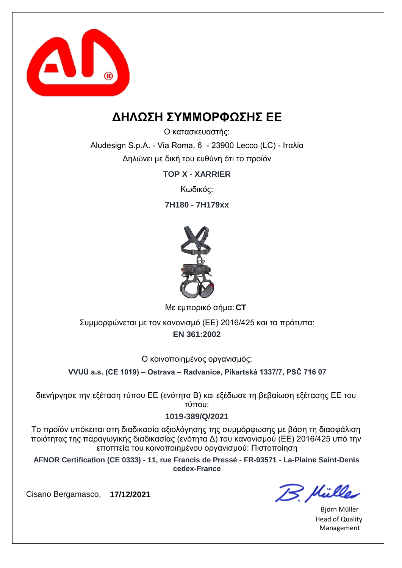

### **ΔΗΛΩΣΗ ΣΥΜΜΟΡΦΩΣΗΣ ΕΕ**

Ο κατασκευαστής:

Aludesign S.p.A. - Via Roma, 6 - 23900 Lecco (LC) - Ιταλία Δηλώνει με δική του ευθύνη ότι το προϊόν

**TOP X - XARRIER**

Κωδικός:

**7H180 - 7H179xx**



**CT** Με εμπορικό σήμα:

**EN 361:2002** Συμμορφώνεται με τον κανονισμό (ΕΕ) 2016/425 και τα πρότυπα:

Ο κοινοποιημένος οργανισμός:

**VVUÚ a.s. (CE 1019) – Ostrava – Radvanice, Pikartská 1337/7, PSČ 716 07**

διενήργησε την εξέταση τύπου ΕΕ (ενότητα Β) και εξέδωσε τη βεβαίωση εξέτασης ΕΕ του τύπου:

#### **1019-389/Q/2021**

Το προϊόν υπόκειται στη διαδικασία αξιολόγησης της συμμόρφωσης με βάση τη διασφάλιση ποιότητας της παραγωγικής διαδικασίας (ενότητα Δ) του κανονισμού (ΕΕ) 2016/425 υπό την εποπτεία του κοινοποιημένου οργανισμού: Πιστοποίηση

**AFNOR Certification (CE 0333) - 11, rue Francis de Pressé - FR-93571 - La-Plaine Saint-Denis cedex-France**

B. Hülles

Björn Müller Head of Quality Management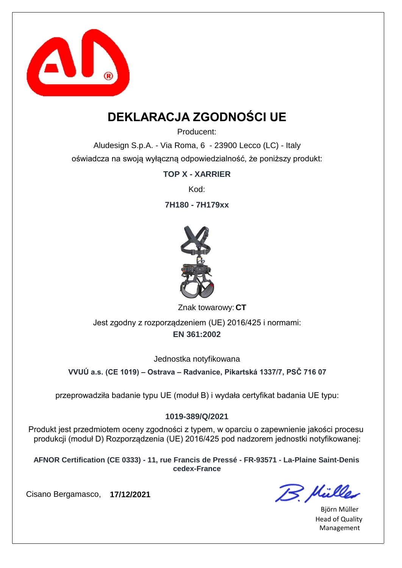

## **DEKLARACJA ZGODNOŚCI UE**

Producent:

Aludesign S.p.A. - Via Roma, 6 - 23900 Lecco (LC) - Italy oświadcza na swoją wyłączną odpowiedzialność, że poniższy produkt:

**TOP X - XARRIER**

Kod:

**7H180 - 7H179xx**



Znak towarowy: CT

**EN 361:2002** Jest zgodny z rozporządzeniem (UE) 2016/425 i normami:

Jednostka notyfikowana

**VVUÚ a.s. (CE 1019) – Ostrava – Radvanice, Pikartská 1337/7, PSČ 716 07**

przeprowadziła badanie typu UE (moduł B) i wydała certyfikat badania UE typu:

### **1019-389/Q/2021**

Produkt jest przedmiotem oceny zgodności z typem, w oparciu o zapewnienie jakości procesu produkcji (moduł D) Rozporządzenia (UE) 2016/425 pod nadzorem jednostki notyfikowanej:

**AFNOR Certification (CE 0333) - 11, rue Francis de Pressé - FR-93571 - La-Plaine Saint-Denis cedex-France**

B. Müller

Björn Müller Head of Quality Management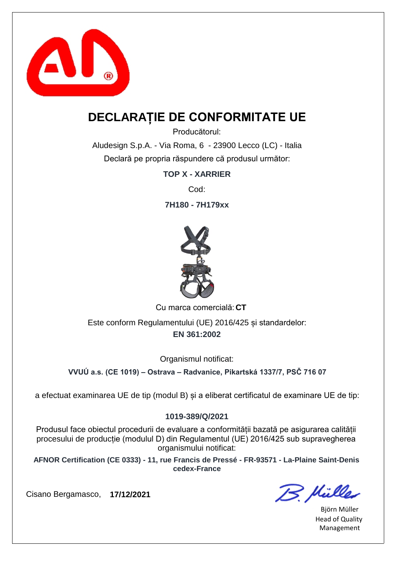

### **DECLARAȚIE DE CONFORMITATE UE**

Producătorul:

Aludesign S.p.A. - Via Roma, 6 - 23900 Lecco (LC) - Italia Declară pe propria răspundere că produsul următor:

**TOP X - XARRIER**

Cod:

**7H180 - 7H179xx**



Cu marca comercială: CT

**EN 361:2002** Este conform Regulamentului (UE) 2016/425 și standardelor:

Organismul notificat:

**VVUÚ a.s. (CE 1019) – Ostrava – Radvanice, Pikartská 1337/7, PSČ 716 07**

a efectuat examinarea UE de tip (modul B) și a eliberat certificatul de examinare UE de tip:

### **1019-389/Q/2021**

Produsul face obiectul procedurii de evaluare a conformității bazată pe asigurarea calității procesului de producție (modulul D) din Regulamentul (UE) 2016/425 sub supravegherea organismului notificat:

**AFNOR Certification (CE 0333) - 11, rue Francis de Pressé - FR-93571 - La-Plaine Saint-Denis cedex-France**

B. Mülles

Björn Müller Head of Quality Management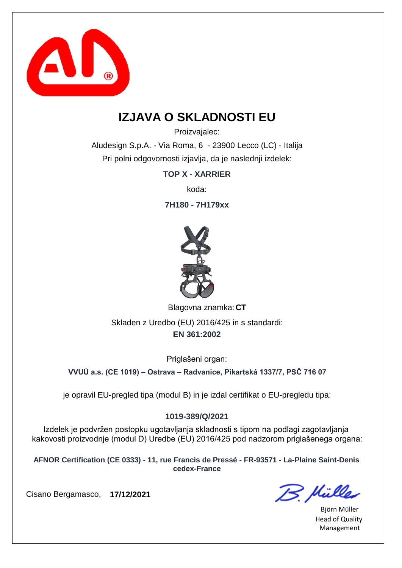

### **IZJAVA O SKLADNOSTI EU**

Proizvajalec:

Aludesign S.p.A. - Via Roma, 6 - 23900 Lecco (LC) - Italija Pri polni odgovornosti izjavlja, da je naslednji izdelek:

**TOP X - XARRIER**

koda:

**7H180 - 7H179xx**



Blagovna znamka: CT

**EN 361:2002** Skladen z Uredbo (EU) 2016/425 in s standardi:

Priglašeni organ:

**VVUÚ a.s. (CE 1019) – Ostrava – Radvanice, Pikartská 1337/7, PSČ 716 07**

je opravil EU-pregled tipa (modul B) in je izdal certifikat o EU-pregledu tipa:

### **1019-389/Q/2021**

Izdelek je podvržen postopku ugotavljanja skladnosti s tipom na podlagi zagotavljanja kakovosti proizvodnje (modul D) Uredbe (EU) 2016/425 pod nadzorom priglašenega organa:

**AFNOR Certification (CE 0333) - 11, rue Francis de Pressé - FR-93571 - La-Plaine Saint-Denis cedex-France**

B. Müller

Björn Müller Head of Quality Management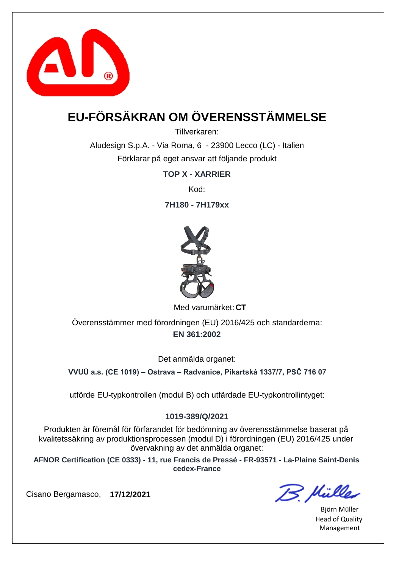

# **EU-FÖRSÄKRAN OM ÖVERENSSTÄMMELSE**

Tillverkaren:

Aludesign S.p.A. - Via Roma, 6 - 23900 Lecco (LC) - Italien Förklarar på eget ansvar att följande produkt

**TOP X - XARRIER**

Kod:

**7H180 - 7H179xx**



Med varumärket: CT

**EN 361:2002** Överensstämmer med förordningen (EU) 2016/425 och standarderna:

Det anmälda organet:

**VVUÚ a.s. (CE 1019) – Ostrava – Radvanice, Pikartská 1337/7, PSČ 716 07**

utförde EU-typkontrollen (modul B) och utfärdade EU-typkontrollintyget:

#### **1019-389/Q/2021**

Produkten är föremål för förfarandet för bedömning av överensstämmelse baserat på kvalitetssäkring av produktionsprocessen (modul D) i förordningen (EU) 2016/425 under övervakning av det anmälda organet:

**AFNOR Certification (CE 0333) - 11, rue Francis de Pressé - FR-93571 - La-Plaine Saint-Denis cedex-France**

B. Mülles

Björn Müller Head of Quality Management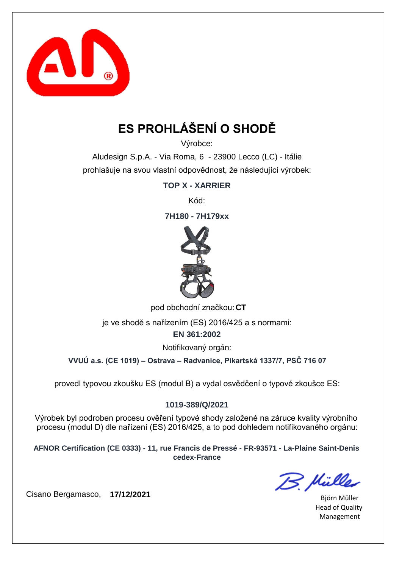

# **ES PROHLÁŠENÍ O SHODĚ**

Výrobce:

Aludesign S.p.A. - Via Roma, 6 - 23900 Lecco (LC) - Itálie prohlašuje na svou vlastní odpovědnost, že následující výrobek:

**TOP X - XARRIER**

Kód:

**7H180 - 7H179xx**



pod obchodní značkou: **CT** 

je ve shodě s nařízením (ES) 2016/425 a s normami:

**EN 361:2002**

Notifikovaný orgán:

**VVUÚ a.s. (CE 1019) – Ostrava – Radvanice, Pikartská 1337/7, PSČ 716 07**

provedl typovou zkoušku ES (modul B) a vydal osvědčení o typové zkoušce ES:

### **1019-389/Q/2021**

Výrobek byl podroben procesu ověření typové shody založené na záruce kvality výrobního procesu (modul D) dle nařízení (ES) 2016/425, a to pod dohledem notifikovaného orgánu:

**AFNOR Certification (CE 0333) - 11, rue Francis de Pressé - FR-93571 - La-Plaine Saint-Denis cedex-France**

B. Mülles

Björn Müller Head of Quality Management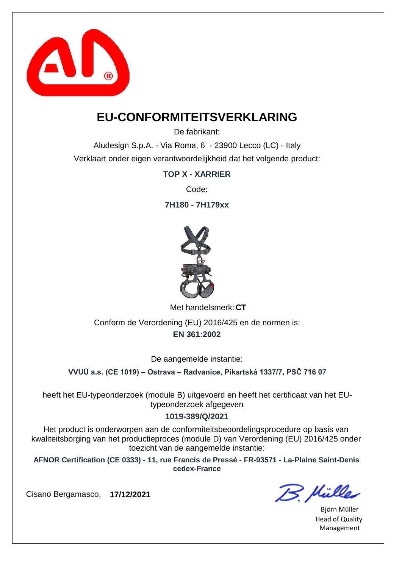

### **EU-CONFORMITEITSVERKLARING**

De fabrikant:

Aludesign S.p.A. - Via Roma, 6 - 23900 Lecco (LC) - Italy Verklaart onder eigen verantwoordelijkheid dat het volgende product:

**TOP X - XARRIER**

Code:

**7H180 - 7H179xx**



Met handelsmerk: CT

**EN 361:2002** Conform de Verordening (EU) 2016/425 en de normen is:

De aangemelde instantie:

**VVUÚ a.s. (CE 1019) – Ostrava – Radvanice, Pikartská 1337/7, PSČ 716 07**

heeft het EU-typeonderzoek (module B) uitgevoerd en heeft het certificaat van het EUtypeonderzoek afgegeven

### **1019-389/Q/2021**

Het product is onderworpen aan de conformiteitsbeoordelingsprocedure op basis van kwaliteitsborging van het productieproces (module D) van Verordening (EU) 2016/425 onder toezicht van de aangemelde instantie:

**AFNOR Certification (CE 0333) - 11, rue Francis de Pressé - FR-93571 - La-Plaine Saint-Denis cedex-France**

B. Mülles

Björn Müller Head of Quality Management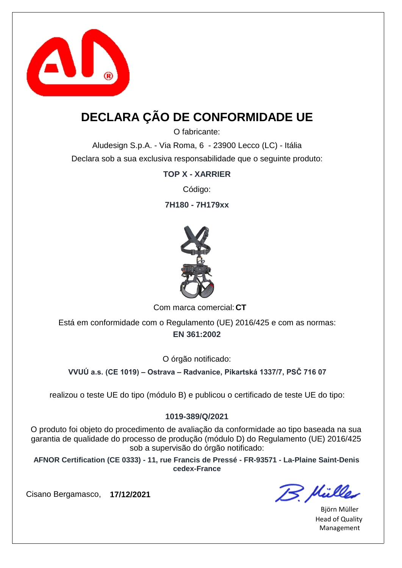

## **DECLARA ÇÃO DE CONFORMIDADE UE**

O fabricante:

Aludesign S.p.A. - Via Roma, 6 - 23900 Lecco (LC) - Itália Declara sob a sua exclusiva responsabilidade que o seguinte produto:

**TOP X - XARRIER**

Código:

**7H180 - 7H179xx**



Com marca comercial: CT

**EN 361:2002** Está em conformidade com o Regulamento (UE) 2016/425 e com as normas:

O órgão notificado:

**VVUÚ a.s. (CE 1019) – Ostrava – Radvanice, Pikartská 1337/7, PSČ 716 07**

realizou o teste UE do tipo (módulo B) e publicou o certificado de teste UE do tipo:

### **1019-389/Q/2021**

O produto foi objeto do procedimento de avaliação da conformidade ao tipo baseada na sua garantia de qualidade do processo de produção (módulo D) do Regulamento (UE) 2016/425 sob a supervisão do órgão notificado:

**AFNOR Certification (CE 0333) - 11, rue Francis de Pressé - FR-93571 - La-Plaine Saint-Denis cedex-France**

B. Mülles

Björn Müller Head of Quality Management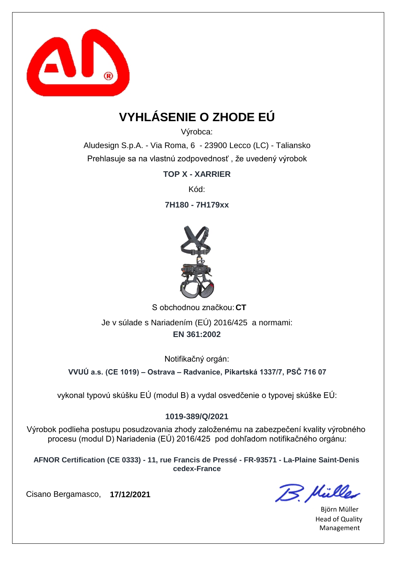

# **VYHLÁSENIE O ZHODE EÚ**

Výrobca:

Aludesign S.p.A. - Via Roma, 6 - 23900 Lecco (LC) - Taliansko Prehlasuje sa na vlastnú zodpovednosť , že uvedený výrobok

**TOP X - XARRIER**

Kód:

**7H180 - 7H179xx**



S obchodnou značkou: CT **EN 361:2002** Je v súlade s Nariadením (EÚ) 2016/425 a normami:

Notifikačný orgán:

**VVUÚ a.s. (CE 1019) – Ostrava – Radvanice, Pikartská 1337/7, PSČ 716 07**

vykonal typovú skúšku EÚ (modul B) a vydal osvedčenie o typovej skúške EÚ:

### **1019-389/Q/2021**

Výrobok podlieha postupu posudzovania zhody založenému na zabezpečení kvality výrobného procesu (modul D) Nariadenia (EÚ) 2016/425 pod dohľadom notifikačného orgánu:

**AFNOR Certification (CE 0333) - 11, rue Francis de Pressé - FR-93571 - La-Plaine Saint-Denis cedex-France**

B. Müller

Björn Müller Head of Quality Management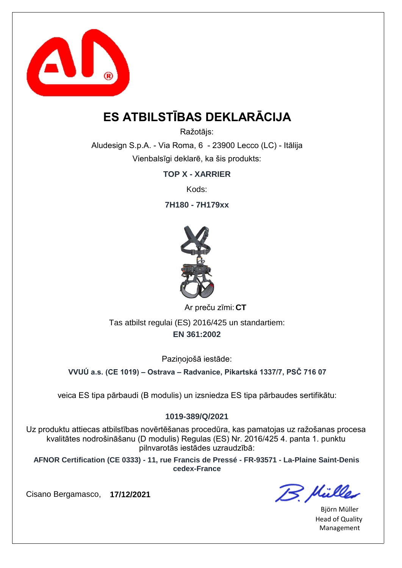

## **ES ATBILSTĪBAS DEKLARĀCIJA**

Ražotājs:

Aludesign S.p.A. - Via Roma, 6 - 23900 Lecco (LC) - Itālija Vienbalsīgi deklarē, ka šis produkts:

**TOP X - XARRIER**

Kods:

**7H180 - 7H179xx**



**CT** Ar preču zīmi:

**EN 361:2002** Tas atbilst regulai (ES) 2016/425 un standartiem:

Pazinojošā iestāde:

**VVUÚ a.s. (CE 1019) – Ostrava – Radvanice, Pikartská 1337/7, PSČ 716 07**

veica ES tipa pārbaudi (B modulis) un izsniedza ES tipa pārbaudes sertifikātu:

### **1019-389/Q/2021**

Uz produktu attiecas atbilstības novērtēšanas procedūra, kas pamatojas uz ražošanas procesa kvalitātes nodrošināšanu (D modulis) Regulas (ES) Nr. 2016/425 4. panta 1. punktu pilnvarotās iestādes uzraudzībā:

**AFNOR Certification (CE 0333) - 11, rue Francis de Pressé - FR-93571 - La-Plaine Saint-Denis cedex-France**

B. Müller

Björn Müller Head of Quality Management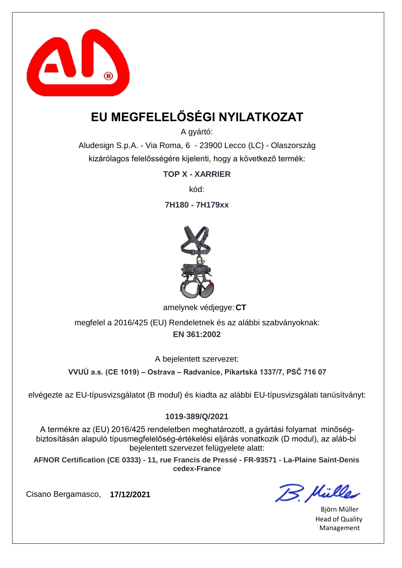

# **EU MEGFELELŐSÉGI NYILATKOZAT**

A gyártó:

Aludesign S.p.A. - Via Roma, 6 - 23900 Lecco (LC) - Olaszország kizárólagos felelősségére kijelenti, hogy a következő termék:

**TOP X - XARRIER**

kód:

**7H180 - 7H179xx**



amelynek védjegye: CT

**EN 361:2002** megfelel a 2016/425 (EU) Rendeletnek és az alábbi szabványoknak:

A bejelentett szervezet:

**VVUÚ a.s. (CE 1019) – Ostrava – Radvanice, Pikartská 1337/7, PSČ 716 07**

elvégezte az EU-típusvizsgálatot (B modul) és kiadta az alábbi EU-típusvizsgálati tanúsítványt:

### **1019-389/Q/2021**

A termékre az (EU) 2016/425 rendeletben meghatározott, a gyártási folyamat minőségbiztosításán alapuló típusmegfelelőség-értékelési eljárás vonatkozik (D modul), az aláb-bi bejelentett szervezet felügyelete alatt:

**AFNOR Certification (CE 0333) - 11, rue Francis de Pressé - FR-93571 - La-Plaine Saint-Denis cedex-France**

B. Hülles

Björn Müller Head of Quality Management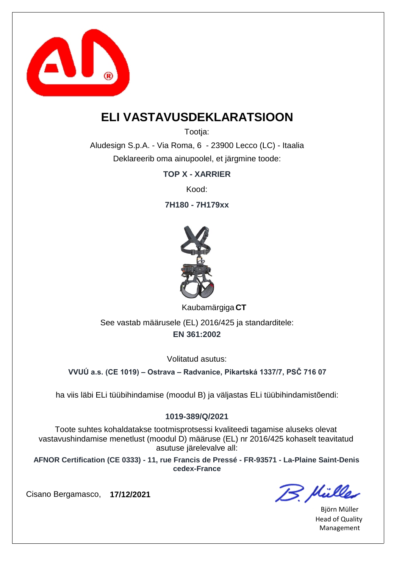

### **ELI VASTAVUSDEKLARATSIOON**

Tootia:

Aludesign S.p.A. - Via Roma, 6 - 23900 Lecco (LC) - Itaalia Deklareerib oma ainupoolel, et järgmine toode:

**TOP X - XARRIER**

Kood:

**7H180 - 7H179xx**



**CT** Kaubamärgiga

**EN 361:2002** See vastab määrusele (EL) 2016/425 ja standarditele:

Volitatud asutus:

**VVUÚ a.s. (CE 1019) – Ostrava – Radvanice, Pikartská 1337/7, PSČ 716 07**

ha viis läbi ELi tüübihindamise (moodul B) ja väljastas ELi tüübihindamistõendi:

### **1019-389/Q/2021**

Toote suhtes kohaldatakse tootmisprotsessi kvaliteedi tagamise aluseks olevat vastavushindamise menetlust (moodul D) määruse (EL) nr 2016/425 kohaselt teavitatud asutuse järelevalve all:

**AFNOR Certification (CE 0333) - 11, rue Francis de Pressé - FR-93571 - La-Plaine Saint-Denis cedex-France**

B. Hülles

Björn Müller Head of Quality Management